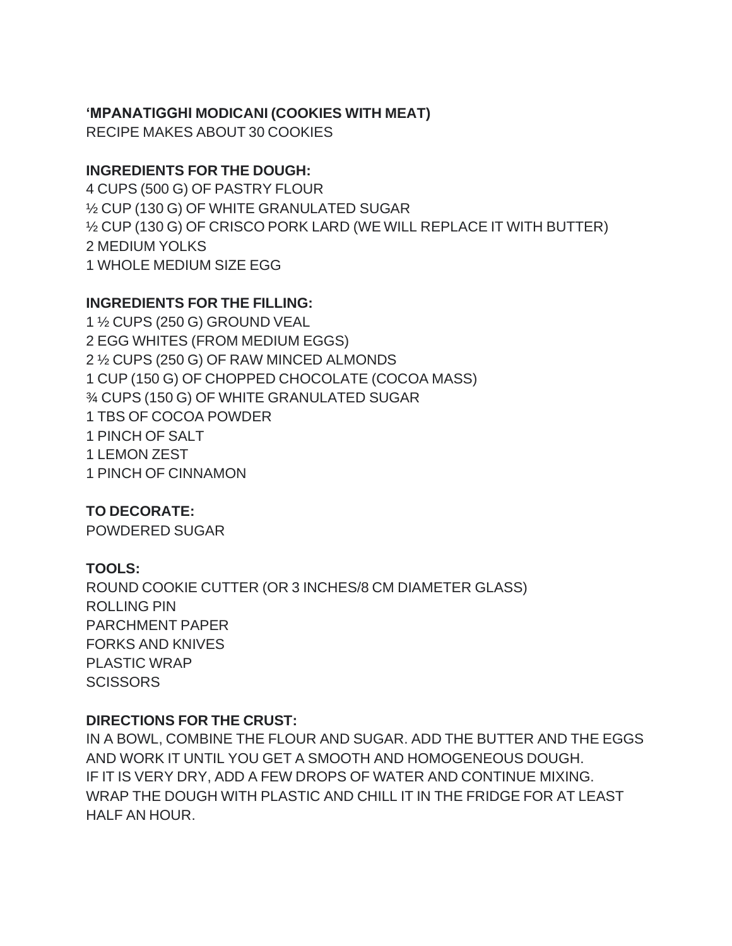# **'MPANATIGGHI MODICANI (COOKIES WITH MEAT)**

RECIPE MAKES ABOUT 30 COOKIES

#### **INGREDIENTS FOR THE DOUGH:**

4 CUPS (500 G) OF PASTRY FLOUR ½ CUP (130 G) OF WHITE GRANULATED SUGAR ½ CUP (130 G) OF CRISCO PORK LARD (WE WILL REPLACE IT WITH BUTTER) 2 MEDIUM YOLKS 1 WHOLE MEDIUM SIZE EGG

# **INGREDIENTS FOR THE FILLING:**

 ½ CUPS (250 G) GROUND VEAL EGG WHITES (FROM MEDIUM EGGS) ½ CUPS (250 G) OF RAW MINCED ALMONDS CUP (150 G) OF CHOPPED CHOCOLATE (COCOA MASS) ¾ CUPS (150 G) OF WHITE GRANULATED SUGAR TBS OF COCOA POWDER PINCH OF SALT LEMON ZEST PINCH OF CINNAMON

**TO DECORATE:**

POWDERED SUGAR

# **TOOLS:**

ROUND COOKIE CUTTER (OR 3 INCHES/8 CM DIAMETER GLASS) ROLLING PIN PARCHMENT PAPER FORKS AND KNIVES PLASTIC WRAP **SCISSORS** 

# **DIRECTIONS FOR THE CRUST:**

IN A BOWL, COMBINE THE FLOUR AND SUGAR. ADD THE BUTTER AND THE EGGS AND WORK IT UNTIL YOU GET A SMOOTH AND HOMOGENEOUS DOUGH. IF IT IS VERY DRY, ADD A FEW DROPS OF WATER AND CONTINUE MIXING. WRAP THE DOUGH WITH PLASTIC AND CHILL IT IN THE FRIDGE FOR AT LEAST HALF AN HOUR.